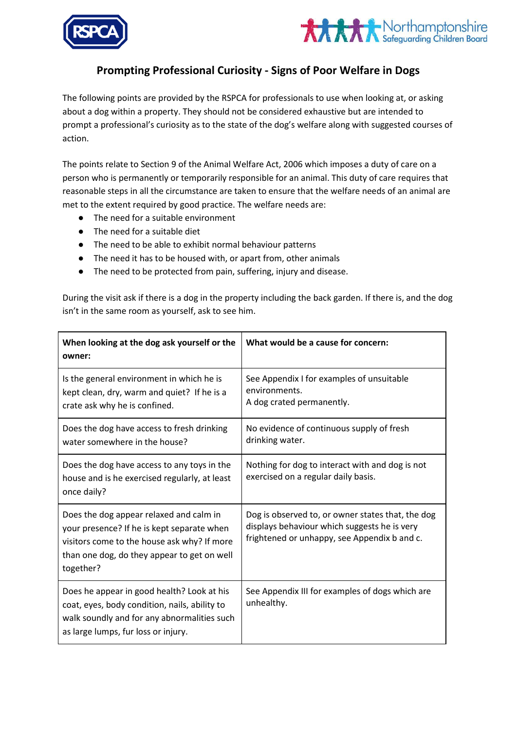



## **Prompting Professional Curiosity - Signs of Poor Welfare in Dogs**

The following points are provided by the RSPCA for professionals to use when looking at, or asking about a dog within a property. They should not be considered exhaustive but are intended to prompt a professional's curiosity as to the state of the dog's welfare along with suggested courses of action.

The points relate to Section 9 of the Animal Welfare Act, 2006 which imposes a duty of care on a person who is permanently or temporarily responsible for an animal. This duty of care requires that reasonable steps in all the circumstance are taken to ensure that the welfare needs of an animal are met to the extent required by good practice. The welfare needs are:

- The need for a suitable environment
- The need for a suitable diet
- The need to be able to exhibit normal behaviour patterns
- The need it has to be housed with, or apart from, other animals
- The need to be protected from pain, suffering, injury and disease.

During the visit ask if there is a dog in the property including the back garden. If there is, and the dog isn't in the same room as yourself, ask to see him.

| When looking at the dog ask yourself or the<br>owner:                                                                                                                                            | What would be a cause for concern:                                                                                                                |
|--------------------------------------------------------------------------------------------------------------------------------------------------------------------------------------------------|---------------------------------------------------------------------------------------------------------------------------------------------------|
| Is the general environment in which he is<br>kept clean, dry, warm and quiet? If he is a<br>crate ask why he is confined.                                                                        | See Appendix I for examples of unsuitable<br>environments.<br>A dog crated permanently.                                                           |
| Does the dog have access to fresh drinking<br>water somewhere in the house?                                                                                                                      | No evidence of continuous supply of fresh<br>drinking water.                                                                                      |
| Does the dog have access to any toys in the<br>house and is he exercised regularly, at least<br>once daily?                                                                                      | Nothing for dog to interact with and dog is not<br>exercised on a regular daily basis.                                                            |
| Does the dog appear relaxed and calm in<br>your presence? If he is kept separate when<br>visitors come to the house ask why? If more<br>than one dog, do they appear to get on well<br>together? | Dog is observed to, or owner states that, the dog<br>displays behaviour which suggests he is very<br>frightened or unhappy, see Appendix b and c. |
| Does he appear in good health? Look at his<br>coat, eyes, body condition, nails, ability to<br>walk soundly and for any abnormalities such<br>as large lumps, fur loss or injury.                | See Appendix III for examples of dogs which are<br>unhealthy.                                                                                     |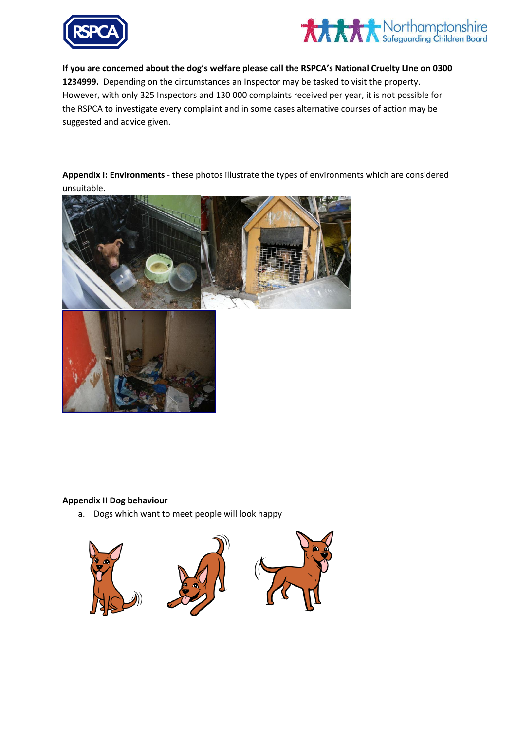



**If you are concerned about the dog's welfare please call the RSPCA's National Cruelty LIne on 0300 1234999.** Depending on the circumstances an Inspector may be tasked to visit the property. However, with only 325 Inspectors and 130 000 complaints received per year, it is not possible for the RSPCA to investigate every complaint and in some cases alternative courses of action may be suggested and advice given.

**Appendix I: Environments** - these photos illustrate the types of environments which are considered unsuitable.



## **Appendix II Dog behaviour**

a. Dogs which want to meet people will look happy